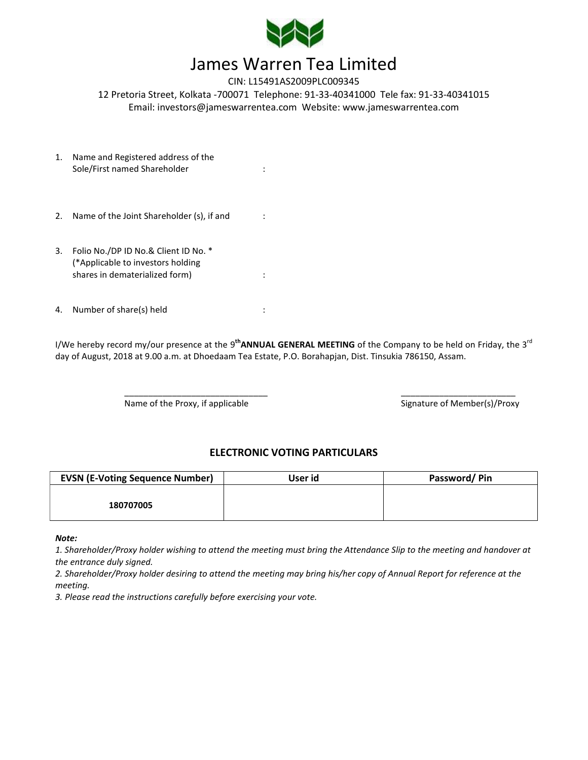

## James Warren Tea Limited

CIN: L15491AS2009PLC009345 12 Pretoria Street, Kolkata -700071 Telephone: 91-33-40341000 Tele fax: 91-33-40341015 Email: investor[s@jameswarrentea.com](http://jameswarrentea.com/) Website: www.jameswarrentea.com

| 1. | Name and Registered address of the<br>Sole/First named Shareholder                                          |  |
|----|-------------------------------------------------------------------------------------------------------------|--|
| 2. | Name of the Joint Shareholder (s), if and                                                                   |  |
| З. | Folio No./DP ID No.& Client ID No. *<br>(*Applicable to investors holding<br>shares in dematerialized form) |  |

4. Number of share(s) held :

I/We hereby record my/our presence at the 9**thANNUAL GENERAL MEETING** of the Company to be held on Friday, the 3rd day of August, 2018 at 9.00 a.m. at Dhoedaam Tea Estate, P.O. Borahapjan, Dist. Tinsukia 786150, Assam.

\_\_\_\_\_\_\_\_\_\_\_\_\_\_\_\_\_\_\_\_\_\_\_\_\_\_\_\_\_\_ \_\_\_\_\_\_\_\_\_\_\_\_\_\_\_\_\_\_\_\_\_\_\_\_

Name of the Proxy, if applicable Signature of Member(s)/Proxy

## **ELECTRONIC VOTING PARTICULARS**

| <b>EVSN (E-Voting Sequence Number)</b> | User id | Password/Pin |
|----------------------------------------|---------|--------------|
| 180707005                              |         |              |

*Note:* 

*1. Shareholder/Proxy holder wishing to attend the meeting must bring the Attendance Slip to the meeting and handover at the entrance duly signed.*

*2. Shareholder/Proxy holder desiring to attend the meeting may bring his/her copy of Annual Report for reference at the meeting.*

*3. Please read the instructions carefully before exercising your vote.*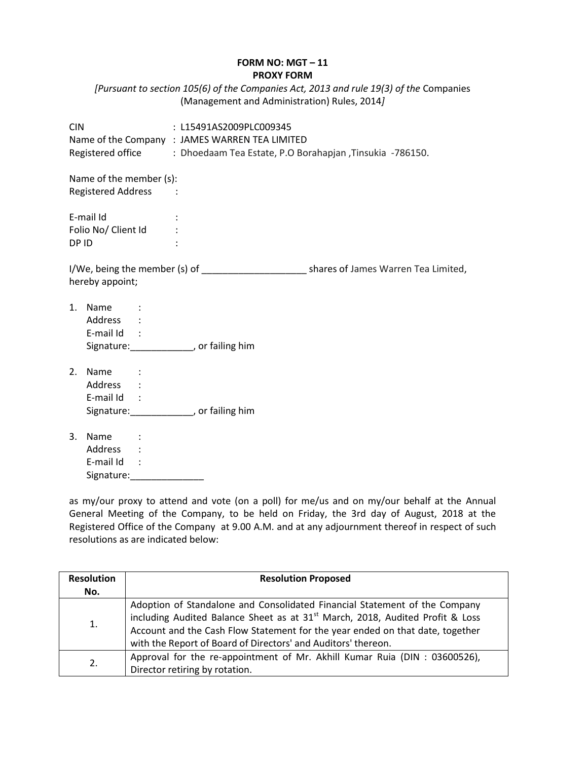## **FORM NO: MGT – 11 PROXY FORM**

*[Pursuant to section 105(6) of the Companies Act, 2013 and rule 19(3) of the* Companies (Management and Administration) Rules, 2014*]*

| <b>CIN</b>                                                                                                      | : L15491AS2009PLC009345<br>Name of the Company : JAMES WARREN TEA LIMITED | Registered office : Dhoedaam Tea Estate, P.O Borahapjan , Tinsukia -786150. |  |  |
|-----------------------------------------------------------------------------------------------------------------|---------------------------------------------------------------------------|-----------------------------------------------------------------------------|--|--|
| Name of the member (s):<br>Registered Address :                                                                 |                                                                           |                                                                             |  |  |
| E-mail Id<br>Folio No/ Client Id<br>DP ID                                                                       |                                                                           |                                                                             |  |  |
| I/We, being the member (s) of ___________________________shares of James Warren Tea Limited,<br>hereby appoint; |                                                                           |                                                                             |  |  |
| 1. Name<br><b>Contract</b><br>Address :<br>E-mail Id:                                                           | Signature: ______________, or failing him                                 |                                                                             |  |  |
| Name<br>2.<br>Address :<br>E-mail Id:                                                                           | $\sim$ $\sim$ $\sim$ $\sim$<br>Signature: ______________, or failing him  |                                                                             |  |  |
| 3.<br>Name<br>Address :<br>E-mail Id                                                                            | $\sim$ 1.<br>Signature: Signature:                                        |                                                                             |  |  |

as my/our proxy to attend and vote (on a poll) for me/us and on my/our behalf at the Annual General Meeting of the Company, to be held on Friday, the 3rd day of August, 2018 at the Registered Office of the Company at 9.00 A.M. and at any adjournment thereof in respect of such resolutions as are indicated below:

| <b>Resolution</b><br>No. | <b>Resolution Proposed</b>                                                                                                                                                                                                                                                                                                |
|--------------------------|---------------------------------------------------------------------------------------------------------------------------------------------------------------------------------------------------------------------------------------------------------------------------------------------------------------------------|
| 1.                       | Adoption of Standalone and Consolidated Financial Statement of the Company<br>including Audited Balance Sheet as at 31 <sup>st</sup> March, 2018, Audited Profit & Loss<br>Account and the Cash Flow Statement for the year ended on that date, together<br>with the Report of Board of Directors' and Auditors' thereon. |
| 2.                       | Approval for the re-appointment of Mr. Akhill Kumar Ruia (DIN: 03600526),<br>Director retiring by rotation.                                                                                                                                                                                                               |